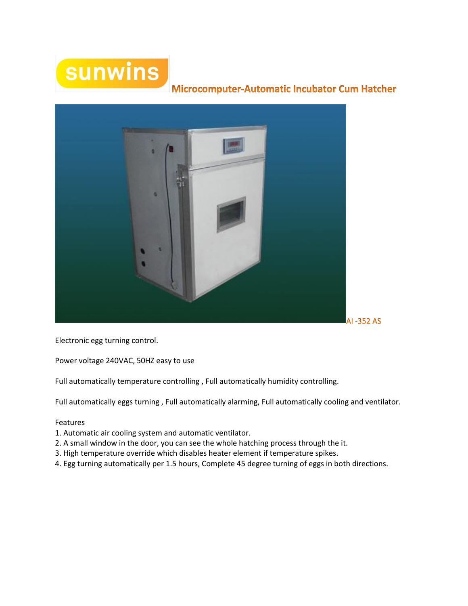# sunwins

## Microcomputer-Automatic Incubator Cum Hatcher



Electronic egg turning control.

Power voltage 240VAC, 50HZ easy to use

Full automatically temperature controlling , Full automatically humidity controlling.

Full automatically eggs turning , Full automatically alarming, Full automatically cooling and ventilator.

#### Features

- 1. Automatic air cooling system and automatic ventilator.
- 2. A small window in the door, you can see the whole hatching process through the it.
- 3. High temperature override which disables heater element if temperature spikes.
- 4. Egg turning automatically per 1.5 hours, Complete 45 degree turning of eggs in both directions.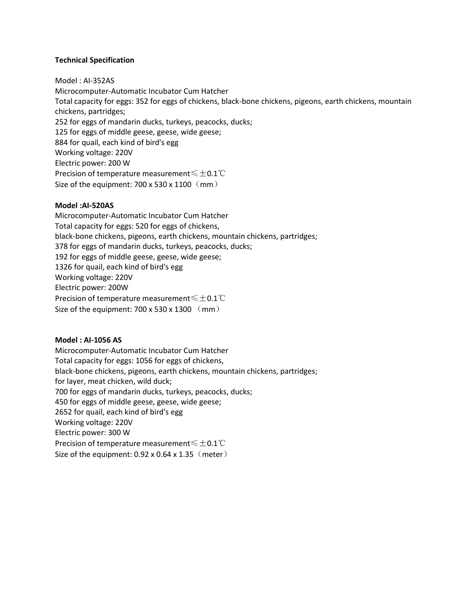#### **Technical Specification**

Model : AI-352AS Microcomputer-Automatic Incubator Cum Hatcher Total capacity for eggs: 352 for eggs of chickens, black-bone chickens, pigeons, earth chickens, mountain chickens, partridges; 252 for eggs of mandarin ducks, turkeys, peacocks, ducks; 125 for eggs of middle geese, geese, wide geese; 884 for quail, each kind of bird's egg Working voltage: 220V Electric power: 200 W Precision of temperature measurement≤±0.1℃ Size of the equipment: 700 x 530 x 1100 (mm)

#### **Model :AI-520AS**

Microcomputer-Automatic Incubator Cum Hatcher Total capacity for eggs: 520 for eggs of chickens, black-bone chickens, pigeons, earth chickens, mountain chickens, partridges; 378 for eggs of mandarin ducks, turkeys, peacocks, ducks; 192 for eggs of middle geese, geese, wide geese; 1326 for quail, each kind of bird's egg Working voltage: 220V Electric power: 200W Precision of temperature measurement≤±0.1℃ Size of the equipment:  $700 \times 530 \times 1300$  (mm)

### **Model : AI-1056 AS**

Microcomputer-Automatic Incubator Cum Hatcher Total capacity for eggs: 1056 for eggs of chickens, black-bone chickens, pigeons, earth chickens, mountain chickens, partridges; for layer, meat chicken, wild duck; 700 for eggs of mandarin ducks, turkeys, peacocks, ducks; 450 for eggs of middle geese, geese, wide geese; 2652 for quail, each kind of bird's egg Working voltage: 220V Electric power: 300 W Precision of temperature measurement≤±0.1℃ Size of the equipment:  $0.92 \times 0.64 \times 1.35$  (meter)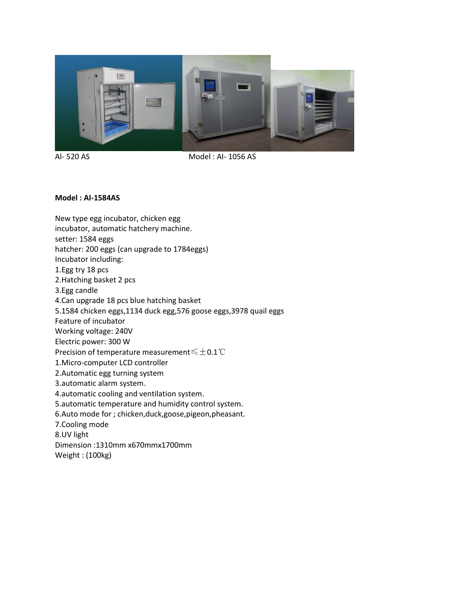

Al- 520 AS Model : AI- 1056 AS

#### **Model : AI-1584AS**

New type egg incubator, chicken egg incubator, automatic hatchery machine. setter: 1584 eggs hatcher: 200 eggs (can upgrade to 1784eggs) Incubator including: 1.Egg try 18 pcs 2.Hatching basket 2 pcs 3.Egg candle 4.Can upgrade 18 pcs blue hatching basket 5.1584 chicken eggs,1134 duck egg,576 goose eggs,3978 quail eggs Feature of incubator Working voltage: 240V Electric power: 300 W Precision of temperature measurement≤±0.1℃ 1.Micro-computer LCD controller 2.Automatic egg turning system 3.automatic alarm system. 4.automatic cooling and ventilation system. 5.automatic temperature and humidity control system. 6.Auto mode for ; chicken,duck,goose,pigeon,pheasant. 7.Cooling mode 8.UV light Dimension :1310mm x670mmx1700mm

Weight : (100kg)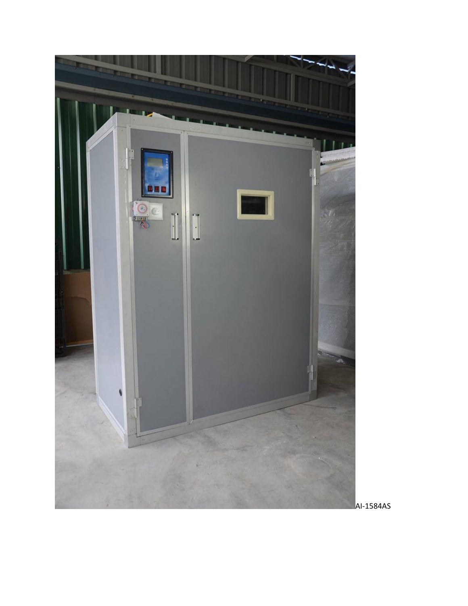

AI-1584AS